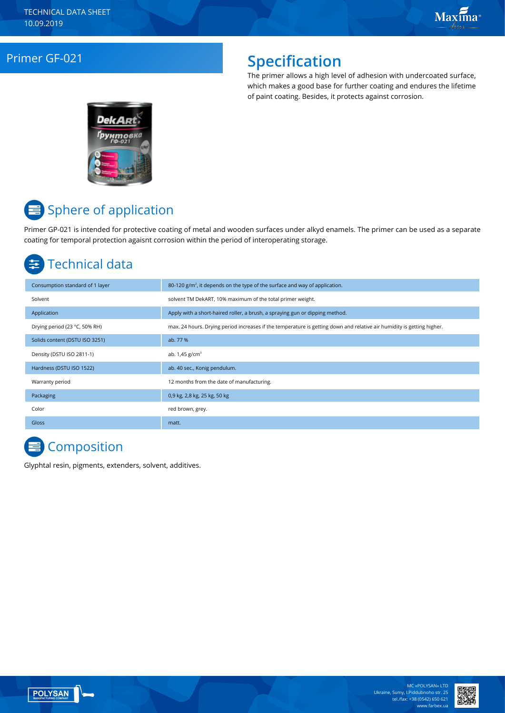### Primer GF-021 **Specification**

The primer allows a high level of adhesion with undercoated surface, which makes a good base for further coating and endures the lifetime of paint coating. Besides, it protects against corrosion.



# **■** Sphere of application

Primer GP-021 is intended for protective coating of metal and wooden surfaces under alkyd enamels. The primer can be used as a separate coating for temporal protection agaisnt corrosion within the period of interoperating storage.

## Technical data

| Consumption standard of 1 layer | 80-120 $g/m2$ , it depends on the type of the surface and way of application.                                          |
|---------------------------------|------------------------------------------------------------------------------------------------------------------------|
| Solvent                         | solvent TM DekART, 10% maximum of the total primer weight.                                                             |
| Application                     | Apply with a short-haired roller, a brush, a spraying gun or dipping method.                                           |
| Drying period (23 °C, 50% RH)   | max. 24 hours. Drying period increases if the temperature is getting down and relative air humidity is getting higher. |
| Solids content (DSTU ISO 3251)  | ab. 77 %                                                                                                               |
| Density (DSTU ISO 2811-1)       | ab. $1,45$ g/cm <sup>3</sup>                                                                                           |
| Hardness (DSTU ISO 1522)        | ab. 40 sec., Konig pendulum.                                                                                           |
| Warranty period                 | 12 months from the date of manufacturing.                                                                              |
| Packaging                       | 0,9 kg, 2,8 kg, 25 kg, 50 kg                                                                                           |
| Color                           | red brown, grey.                                                                                                       |
| Gloss                           | matt.                                                                                                                  |

# **Composition**

Glyphtal resin, pigments, extenders, solvent, additives.